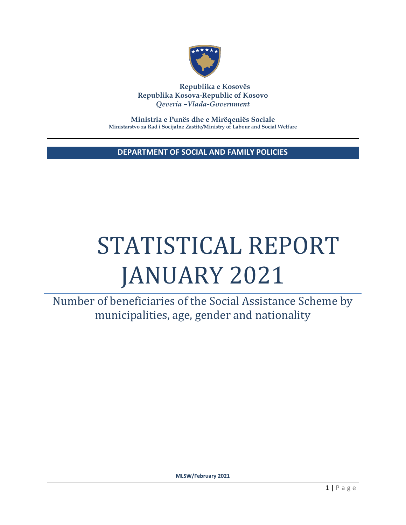

**Republika e Kosovës Republika Kosova-Republic of Kosovo** *Qeveria –Vlada-Government*

**Ministria e Punës dhe e Mirëqeniës Sociale Ministarstvo za Rad i Socijalne Zastite/Ministry of Labour and Social Welfare**

**DEPARTMENT OF SOCIAL AND FAMILY POLICIES**

# STATISTICAL REPORT JANUARY 2021

Number of beneficiaries of the Social Assistance Scheme by municipalities, age, gender and nationality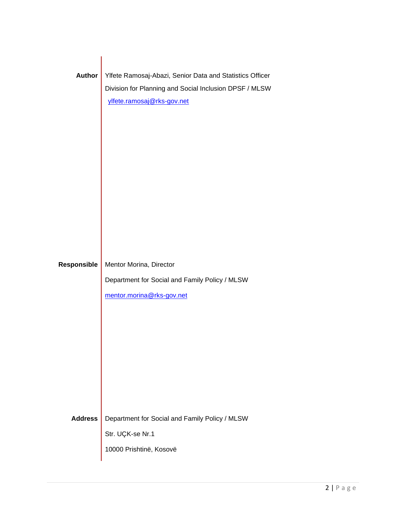| <b>Author</b>      | Ylfete Ramosaj-Abazi, Senior Data and Statistics Officer<br>Division for Planning and Social Inclusion DPSF / MLSW<br>ylfete.ramosaj@rks-gov.net |
|--------------------|--------------------------------------------------------------------------------------------------------------------------------------------------|
| <b>Responsible</b> | Mentor Morina, Director<br>Department for Social and Family Policy / MLSW<br>mentor.morina@rks-gov.net                                           |
|                    |                                                                                                                                                  |
| <b>Address</b>     | Department for Social and Family Policy / MLSW<br>Str. UÇK-se Nr.1<br>10000 Prishtinë, Kosovë                                                    |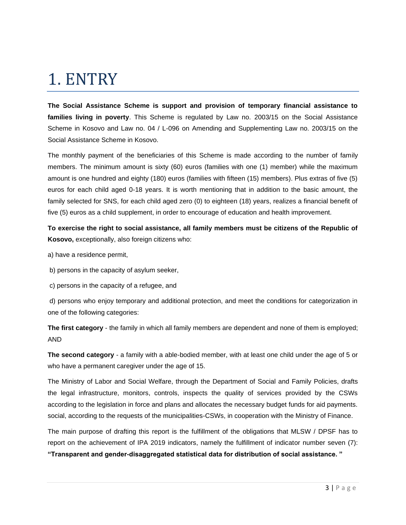# 1. ENTRY

**The Social Assistance Scheme is support and provision of temporary financial assistance to families living in poverty**. This Scheme is regulated by Law no. 2003/15 on the Social Assistance Scheme in Kosovo and Law no. 04 / L-096 on Amending and Supplementing Law no. 2003/15 on the Social Assistance Scheme in Kosovo.

The monthly payment of the beneficiaries of this Scheme is made according to the number of family members. The minimum amount is sixty (60) euros (families with one (1) member) while the maximum amount is one hundred and eighty (180) euros (families with fifteen (15) members). Plus extras of five (5) euros for each child aged 0-18 years. It is worth mentioning that in addition to the basic amount, the family selected for SNS, for each child aged zero (0) to eighteen (18) years, realizes a financial benefit of five (5) euros as a child supplement, in order to encourage of education and health improvement.

**To exercise the right to social assistance, all family members must be citizens of the Republic of Kosovo,** exceptionally, also foreign citizens who:

a) have a residence permit,

b) persons in the capacity of asylum seeker,

c) persons in the capacity of a refugee, and

d) persons who enjoy temporary and additional protection, and meet the conditions for categorization in one of the following categories:

**The first category** - the family in which all family members are dependent and none of them is employed; AND

**The second category** - a family with a able-bodied member, with at least one child under the age of 5 or who have a permanent caregiver under the age of 15.

The Ministry of Labor and Social Welfare, through the Department of Social and Family Policies, drafts the legal infrastructure, monitors, controls, inspects the quality of services provided by the CSWs according to the legislation in force and plans and allocates the necessary budget funds for aid payments. social, according to the requests of the municipalities-CSWs, in cooperation with the Ministry of Finance.

The main purpose of drafting this report is the fulfillment of the obligations that MLSW / DPSF has to report on the achievement of IPA 2019 indicators, namely the fulfillment of indicator number seven (7): **"Transparent and gender-disaggregated statistical data for distribution of social assistance. "**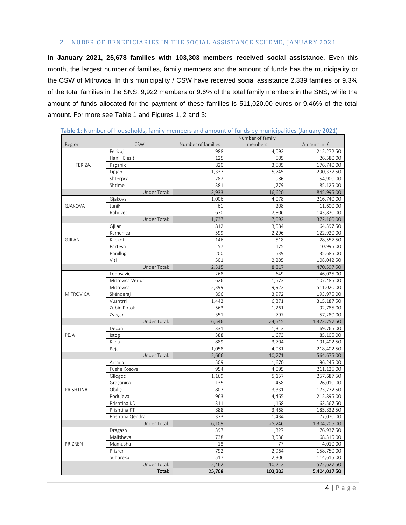#### 2. NUBER OF BENEFICIARIES IN THE SOCIAL ASSISTANCE SCHEME, JANUARY 2021

**In January 2021, 25,678 families with 103,303 members received social assistance**. Even this month, the largest number of families, family members and the amount of funds has the municipality or the CSW of Mitrovica. In this municipality / CSW have received social assistance 2,339 families or 9.3% of the total families in the SNS, 9,922 members or 9.6% of the total family members in the SNS, while the amount of funds allocated for the payment of these families is 511,020.00 euros or 9.46% of the total amount. For more see Table 1 and Figures 1, 2 and 3:

|                  |                  | Number of family   |         |                      |
|------------------|------------------|--------------------|---------|----------------------|
| Region           | <b>CSW</b>       | Number of families | members | Amaunt in $\epsilon$ |
| FERIZAJ          | Ferizaj          | 988                | 4,092   | 212,272.50           |
|                  | Hani i Elezit    | 125                | 509     | 26,580.00            |
|                  | Kacanik          | 820                | 3,509   | 176,740.00           |
|                  | Lipjan           | 1,337              | 5,745   | 290,377.50           |
|                  | Shtërpca         | 282                | 986     | 54,900.00            |
|                  | Shtime           | 381                | 1,779   | 85,125.00            |
|                  | Under Total:     | 3,933              | 16,620  | 845,995.00           |
|                  | Gjakova          | 1,006              | 4,078   | 216,740.00           |
| <b>GJAKOVA</b>   | Junik            | 61                 | 208     | 11,600.00            |
|                  | Rahovec          | 670                | 2,806   | 143,820.00           |
|                  | Under Total:     | 1,737              | 7,092   | 372,160.00           |
|                  | Gjilan           | 812                | 3,084   | 164,397.50           |
|                  | Kamenica         | 599                | 2,296   | 122,920.00           |
| <b>GJILAN</b>    | Kllokot          | 146                | 518     | 28,557.50            |
|                  | Partesh          | 57                 | 175     | 10,995.00            |
|                  | Ranillug         | 200                | 539     | 35,685.00            |
|                  | Viti             | 501                | 2,205   | 108,042.50           |
|                  | Under Total:     | 2,315              | 8,817   | 470,597.50           |
|                  | Leposaviç        | 268                | 649     | 46,025.00            |
|                  | Mitrovica Veriut | 626                | 1,573   | 107,485.00           |
|                  | Mitrovica        | 2.399              | 9.922   | 511,020.00           |
| <b>MITROVICA</b> | Skënderaj        | 896                | 3,972   | 193,975.00           |
|                  | Vushtrri         | 1,443              | 6,371   | 315,187.50           |
|                  | Zubin Potok      | 563                | 1,261   | 92,785.00            |
| Zveçan           |                  | 351                | 797     | 57,280.00            |
|                  | Under Total:     | 6,546              | 24,545  | 1,323,757.50         |
|                  | Deçan            | 331                | 1,313   | 69,765.00            |
| PEJA             | Istog            | 388                | 1,673   | 85,105.00            |
|                  | Klina            | 889                | 3,704   | 191,402.50           |
|                  | Peja             | 1,058              | 4,081   | 218,402.50           |
|                  | Under Total:     | 2,666              | 10,771  | 564,675.00           |
|                  | Artana           | 509                | 1,670   | 96,245.00            |
|                  | Fushe Kosova     | 954                | 4,095   | 211,125.00           |
|                  | Gllogoc          | 1,169              | 5,157   | 257,687.50           |
|                  | Graçanica        | 135                | 458     | 26,010.00            |
| PRISHTINA        | Obiliç           | 807                | 3,331   | 173,772.50           |
|                  | Podujeva         | 963                | 4,465   | 212,895.00           |
|                  | Prishtina KD     | 311                | 1,168   | 63,567.50            |
|                  | Prishtina KT     | 888                | 3,468   | 185,832.50           |
|                  | Prishtina Qendra | 373                | 1,434   | 77,070.00            |
| Under Total:     |                  | 6,109              | 25,246  | 1,304,205.00         |
| PRIZREN          | Dragash          | 397                | 1,327   | 76,937.50            |
|                  | Malisheva        | 738                | 3,538   | 168,315.00           |
|                  | Mamusha          | 18                 | 77      | 4,010.00             |
|                  | Prizren          | 792                | 2,964   | 158,750.00           |
|                  | Suhareka         | 517                | 2,306   | 114,615.00           |
| Under Total:     |                  | 2,462              | 10,212  | 522,627.50           |
| Total:           |                  | 25,768             | 103,303 | 5,404,017.50         |

**Table 1**: Number of households, family members and amount of funds by municipalities (January 2021)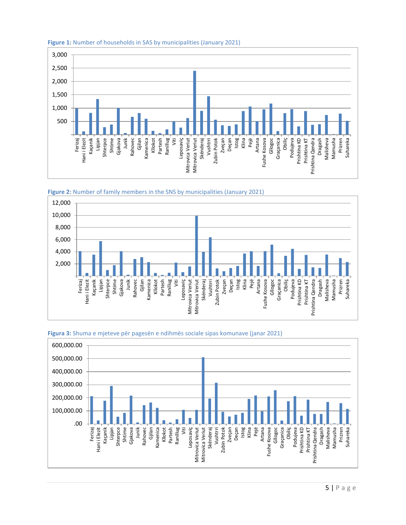

#### **Figure 1:** Number of households in SAS by municipalities (January 2021)







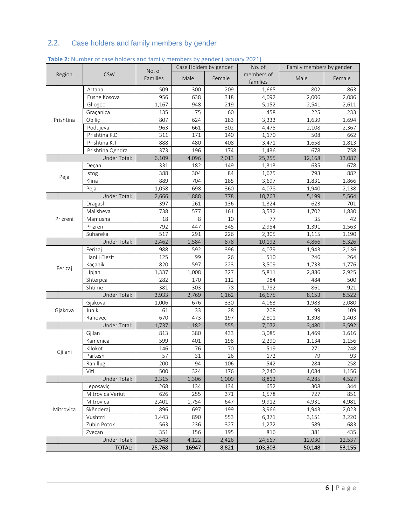# 2.2. Case holders and family members by gender

|               |                  | No. of   | Case Holders by gender |        | No. of                 | Family members by gender |        |
|---------------|------------------|----------|------------------------|--------|------------------------|--------------------------|--------|
| Region        | <b>CSW</b>       | Families | Male                   | Female | members of<br>families | Male                     | Female |
|               | Artana           | 509      | 300                    | 209    | 1,665                  | 802                      | 863    |
|               | Fushe Kosova     | 956      | 638                    | 318    | 4,092                  | 2,006                    | 2,086  |
|               | Gllogoc          | 1,167    | 948                    | 219    | 5,152                  | 2,541                    | 2,611  |
|               | Graçanica        | 135      | 75                     | 60     | 458                    | 225                      | 233    |
| Prishtina     | Obiliç           | 807      | 624                    | 183    | 3,333                  | 1,639                    | 1,694  |
|               | Podujeva         | 963      | 661                    | 302    | 4,475                  | 2,108                    | 2,367  |
|               | Prishtina K.D    | 311      | 171                    | 140    | 1,170                  | 508                      | 662    |
|               | Prishtina K.T    | 888      | 480                    | 408    | 3,471                  | 1,658                    | 1,813  |
|               | Prishtina Qendra | 373      | 196                    | 174    | 1,436                  | 678                      | 758    |
|               | Under Total:     | 6,109    | 4,096                  | 2,013  | 25,255                 | 12,168                   | 13,087 |
|               | Deçan            | 331      | 182                    | 149    | 1,313                  | 635                      | 678    |
| Peja          | Istog            | 388      | 304                    | 84     | 1,675                  | 793                      | 882    |
|               | Klina            | 889      | 704                    | 185    | 3,697                  | 1,831                    | 1,866  |
|               | Peja             | 1,058    | 698                    | 360    | 4,078                  | 1,940                    | 2,138  |
|               | Under Total:     | 2,666    | 1,888                  | 778    | 10,763                 | 5,199                    | 5,564  |
|               | Dragash          | 397      | 261                    | 136    | 1,324                  | 623                      | 701    |
|               | Malisheva        | 738      | 577                    | 161    | 3,532                  | 1,702                    | 1,830  |
| Prizreni      | Mamusha          | 18       | 8                      | 10     | 77                     | 35                       | 42     |
|               | Prizren          | 792      | 447                    | 345    | 2,954                  | 1,391                    | 1,563  |
|               | Suhareka         | 517      | 291                    | 226    | 2,305                  | 1,115                    | 1,190  |
|               | Under Total:     | 2,462    | 1,584                  | 878    | 10,192                 | 4,866                    | 5,326  |
|               | Ferizaj          | 988      | 592                    | 396    | 4,079                  | 1,943                    | 2,136  |
|               | Hani i Elezit    | 125      | 99                     | 26     | 510                    | 246                      | 264    |
| Ferizaj       | Kaçanik          | 820      | 597                    | 223    | 3,509                  | 1,733                    | 1,776  |
|               | Lipjan           | 1,337    | 1,008                  | 327    | 5,811                  | 2,886                    | 2,925  |
|               | Shtërpca         | 282      | 170                    | 112    | 984                    | 484                      | 500    |
|               | Shtime           | 381      | 303                    | 78     | 1,782                  | 861                      | 921    |
|               | Under Total:     | 3,933    | 2,769                  | 1,162  | 16,675                 | 8,153                    | 8,522  |
|               | Gjakova          | 1,006    | 676                    | 330    | 4,063                  | 1,983                    | 2,080  |
| Gjakova       | Junik            | 61       | 33                     | 28     | 208                    | 99                       | 109    |
|               | Rahovec          | 670      | 473                    | 197    | 2,801                  | 1,398                    | 1,403  |
|               | Under Total:     | 1,737    | 1,182                  | 555    | 7,072                  | 3,480                    | 3,592  |
|               | Gjilan           | 813      | 380                    | 433    | 3,085                  | 1,469                    | 1,616  |
|               | Kamenica         | 599      | 401                    | 198    | 2,290                  | 1,134                    | 1,156  |
| Gjilani       | Kllokot          | 146      | 76                     | 70     | 519                    | 271                      | 248    |
|               | Partesh          | 57       | 31                     | 26     | 172                    | 79                       | 93     |
|               | Ranillug         | 200      | 94                     | 106    | 542                    | 284                      | 258    |
|               | Viti             | 500      | 324                    | 176    | 2,240                  | 1,084                    | 1,156  |
| Under Total:  |                  | 2,315    | 1,306                  | 1,009  | 8,812                  | 4,285                    | 4,527  |
| Mitrovica     | Leposaviç        | 268      | 134                    | 134    | 652                    | 308                      | 344    |
|               | Mitrovica Veriut | 626      | 255                    | 371    | 1,578                  | 727                      | 851    |
|               | Mitrovica        | 2,401    | 1,754                  | 647    | 9,912                  | 4,931                    | 4,981  |
|               | Skënderaj        | 896      | 697                    | 199    | 3,966                  | 1,943                    | 2,023  |
|               | Vushtrri         | 1,443    | 890                    | 553    | 6,371                  | 3,151                    | 3,220  |
|               | Zubin Potok      | 563      | 236                    | 327    | 1,272                  | 589                      | 683    |
| Zveçan        |                  | 351      | 156                    | 195    | 816                    | 381                      | 435    |
| Under Total:  |                  | 6,548    | 4,122                  | 2,426  | 24,567                 | 12,030                   | 12,537 |
| <b>TOTAL:</b> |                  | 25,768   | 16947                  | 8,821  | 103,303                | 50,148                   | 53,155 |

## **Table 2:** Number of case holders and family members by gender (January 2021)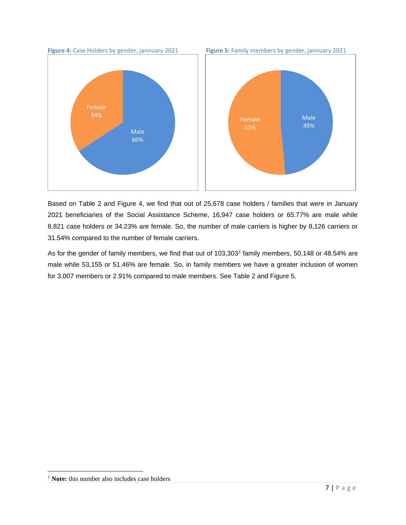

Based on Table 2 and Figure 4, we find that out of 25,678 case holders / families that were in January 2021 beneficiaries of the Social Assistance Scheme, 16,947 case holders or 65.77% are male while 8,821 case holders or 34.23% are female. So, the number of male carriers is higher by 8,126 carriers or 31.54% compared to the number of female carriers.

As for the gender of family members, we find that out of 103,303<sup>1</sup> family members, 50,148 or 48.54% are male while 53,155 or 51.46% are female. So, in family members we have a greater inclusion of women for 3,007 members or 2.91% compared to male members. See Table 2 and Figure 5.

<sup>&</sup>lt;sup>1</sup> Note: this number also includes case holders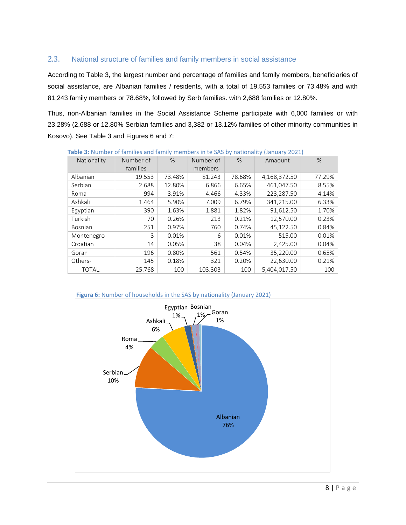#### 2.3. National structure of families and family members in social assistance

According to Table 3, the largest number and percentage of families and family members, beneficiaries of social assistance, are Albanian families / residents, with a total of 19,553 families or 73.48% and with 81,243 family members or 78.68%, followed by Serb families. with 2,688 families or 12.80%.

Thus, non-Albanian families in the Social Assistance Scheme participate with 6,000 families or with 23.28% (2,688 or 12.80% Serbian families and 3,382 or 13.12% families of other minority communities in Kosovo). See Table 3 and Figures 6 and 7:

| Nationality | Number of<br>families | $\%$   | Number of<br>members | $\%$   | Amaount      | %      |
|-------------|-----------------------|--------|----------------------|--------|--------------|--------|
| Albanian    | 19.553                | 73.48% | 81.243               | 78.68% | 4,168,372.50 | 77.29% |
| Serbian     | 2.688                 | 12.80% | 6.866                | 6.65%  | 461,047.50   | 8.55%  |
| Roma        | 994                   | 3.91%  | 4.466                | 4.33%  | 223,287.50   | 4.14%  |
| Ashkali     | 1.464                 | 5.90%  | 7.009                | 6.79%  | 341,215.00   | 6.33%  |
| Egyptian    | 390                   | 1.63%  | 1.881                | 1.82%  | 91,612.50    | 1.70%  |
| Turkish     | 70                    | 0.26%  | 213                  | 0.21%  | 12,570.00    | 0.23%  |
| Bosnian     | 251                   | 0.97%  | 760                  | 0.74%  | 45,122.50    | 0.84%  |
| Montenegro  | 3                     | 0.01%  | 6                    | 0.01%  | 515.00       | 0.01%  |
| Croatian    | 14                    | 0.05%  | 38                   | 0.04%  | 2,425.00     | 0.04%  |
| Goran       | 196                   | 0.80%  | 561                  | 0.54%  | 35,220.00    | 0.65%  |
| Others-     | 145                   | 0.18%  | 321                  | 0.20%  | 22,630.00    | 0.21%  |
| TOTAL:      | 25.768                | 100    | 103.303              | 100    | 5.404.017.50 | 100    |

**Table 3:** Number of families and family members in te SAS by nationality (January 2021)